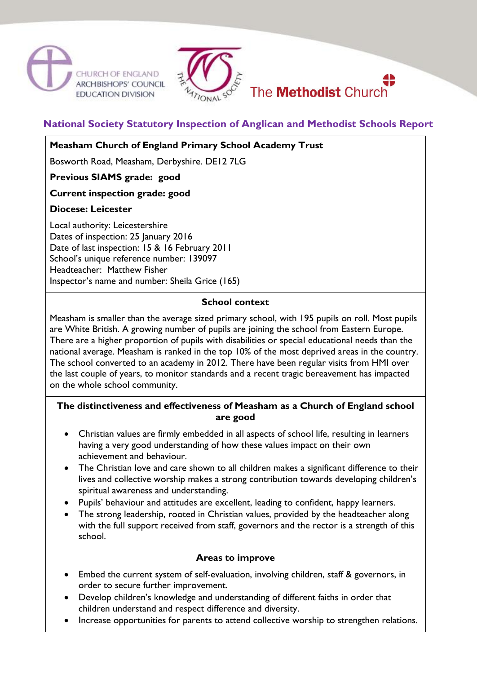





# **National Society Statutory Inspection of Anglican and Methodist Schools Report**

### **Measham Church of England Primary School Academy Trust**

Bosworth Road, Measham, Derbyshire. DE12 7LG

**Previous SIAMS grade: good**

### **Current inspection grade: good**

### **Diocese: Leicester**

Local authority: Leicestershire Dates of inspection: 25 January 2016 Date of last inspection: 15 & 16 February 2011 School's unique reference number: 139097 Headteacher: Matthew Fisher Inspector's name and number: Sheila Grice (165)

#### **School context**

Measham is smaller than the average sized primary school, with 195 pupils on roll. Most pupils are White British. A growing number of pupils are joining the school from Eastern Europe. There are a higher proportion of pupils with disabilities or special educational needs than the national average. Measham is ranked in the top 10% of the most deprived areas in the country. The school converted to an academy in 2012. There have been regular visits from HMI over the last couple of years, to monitor standards and a recent tragic bereavement has impacted on the whole school community.

## **The distinctiveness and effectiveness of Measham as a Church of England school are good**

- Christian values are firmly embedded in all aspects of school life, resulting in learners having a very good understanding of how these values impact on their own achievement and behaviour.
- The Christian love and care shown to all children makes a significant difference to their lives and collective worship makes a strong contribution towards developing children's spiritual awareness and understanding.
- Pupils' behaviour and attitudes are excellent, leading to confident, happy learners.
- The strong leadership, rooted in Christian values, provided by the headteacher along with the full support received from staff, governors and the rector is a strength of this school.

### **Areas to improve**

- Embed the current system of self-evaluation, involving children, staff & governors, in order to secure further improvement.
- Develop children's knowledge and understanding of different faiths in order that children understand and respect difference and diversity.
- Increase opportunities for parents to attend collective worship to strengthen relations.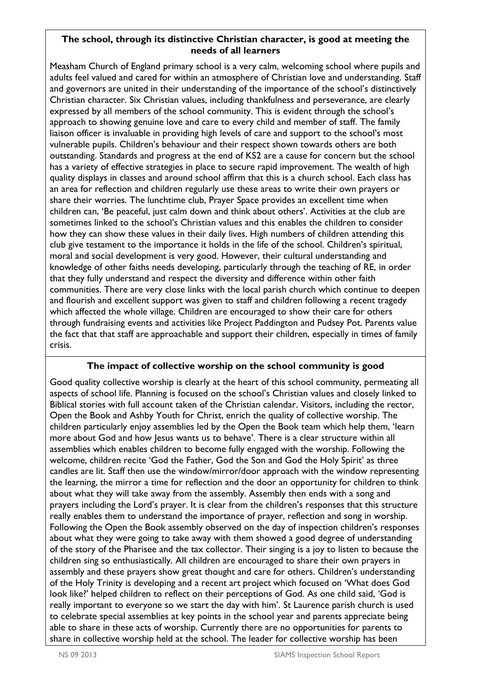### **The school, through its distinctive Christian character, is good at meeting the needs of all learners**

Measham Church of England primary school is a very calm, welcoming school where pupils and adults feel valued and cared for within an atmosphere of Christian love and understanding. Staff and governors are united in their understanding of the importance of the school's distinctively Christian character. Six Christian values, including thankfulness and perseverance, are clearly expressed by all members of the school community. This is evident through the school's approach to showing genuine love and care to every child and member of staff. The family liaison officer is invaluable in providing high levels of care and support to the school's most vulnerable pupils. Children's behaviour and their respect shown towards others are both outstanding. Standards and progress at the end of KS2 are a cause for concern but the school has a variety of effective strategies in place to secure rapid improvement. The wealth of high quality displays in classes and around school affirm that this is a church school. Each class has an area for reflection and children regularly use these areas to write their own prayers or share their worries. The lunchtime club, Prayer Space provides an excellent time when children can, 'Be peaceful, just calm down and think about others'. Activities at the club are sometimes linked to the school's Christian values and this enables the children to consider how they can show these values in their daily lives. High numbers of children attending this club give testament to the importance it holds in the life of the school. Children's spiritual, moral and social development is very good. However, their cultural understanding and knowledge of other faiths needs developing, particularly through the teaching of RE, in order that they fully understand and respect the diversity and difference within other faith communities. There are very close links with the local parish church which continue to deepen and flourish and excellent support was given to staff and children following a recent tragedy which affected the whole village. Children are encouraged to show their care for others through fundraising events and activities like Project Paddington and Pudsey Pot. Parents value the fact that that staff are approachable and support their children, especially in times of family crisis.

## **The impact of collective worship on the school community is good**

Good quality collective worship is clearly at the heart of this school community, permeating all aspects of school life. Planning is focused on the school's Christian values and closely linked to Biblical stories with full account taken of the Christian calendar. Visitors, including the rector, Open the Book and Ashby Youth for Christ, enrich the quality of collective worship. The children particularly enjoy assemblies led by the Open the Book team which help them, 'learn more about God and how Jesus wants us to behave'. There is a clear structure within all assemblies which enables children to become fully engaged with the worship. Following the welcome, children recite 'God the Father, God the Son and God the Holy Spirit' as three candles are lit. Staff then use the window/mirror/door approach with the window representing the learning, the mirror a time for reflection and the door an opportunity for children to think about what they will take away from the assembly. Assembly then ends with a song and prayers including the Lord's prayer. It is clear from the children's responses that this structure really enables them to understand the importance of prayer, reflection and song in worship. Following the Open the Book assembly observed on the day of inspection children's responses about what they were going to take away with them showed a good degree of understanding of the story of the Pharisee and the tax collector. Their singing is a joy to listen to because the children sing so enthusiastically. All children are encouraged to share their own prayers in assembly and these prayers show great thought and care for others. Children's understanding of the Holy Trinity is developing and a recent art project which focused on 'What does God look like?' helped children to reflect on their perceptions of God. As one child said, 'God is really important to everyone so we start the day with him'. St Laurence parish church is used to celebrate special assemblies at key points in the school year and parents appreciate being able to share in these acts of worship. Currently there are no opportunities for parents to share in collective worship held at the school. The leader for collective worship has been